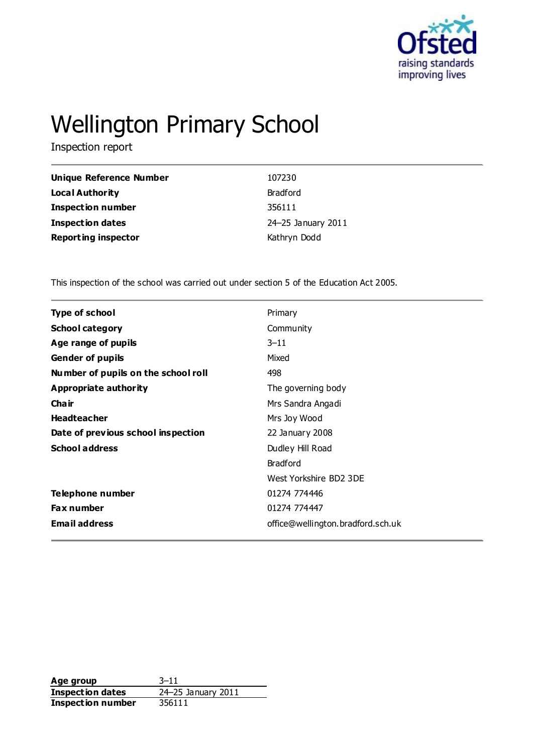

# Wellington Primary School

Inspection report

| Unique Reference Number    | 107230             |
|----------------------------|--------------------|
| Local Authority            | <b>Bradford</b>    |
| <b>Inspection number</b>   | 356111             |
| <b>Inspection dates</b>    | 24-25 January 2011 |
| <b>Reporting inspector</b> | Kathryn Dodd       |

This inspection of the school was carried out under section 5 of the Education Act 2005.

| <b>Type of school</b>               | Primary                           |
|-------------------------------------|-----------------------------------|
| <b>School category</b>              | Community                         |
| Age range of pupils                 | $3 - 11$                          |
| <b>Gender of pupils</b>             | Mixed                             |
| Number of pupils on the school roll | 498                               |
| Appropriate authority               | The governing body                |
| Cha ir                              | Mrs Sandra Angadi                 |
| <b>Headteacher</b>                  | Mrs Joy Wood                      |
| Date of previous school inspection  | 22 January 2008                   |
| <b>School address</b>               | Dudley Hill Road                  |
|                                     | <b>Bradford</b>                   |
|                                     | West Yorkshire BD2 3DE            |
| Telephone number                    | 01274 774446                      |
| <b>Fax number</b>                   | 01274 774447                      |
| <b>Email address</b>                | office@wellington.bradford.sch.uk |
|                                     |                                   |

**Age group** 3–11 **Inspection dates** 24–25 January 2011 **Inspection number** 356111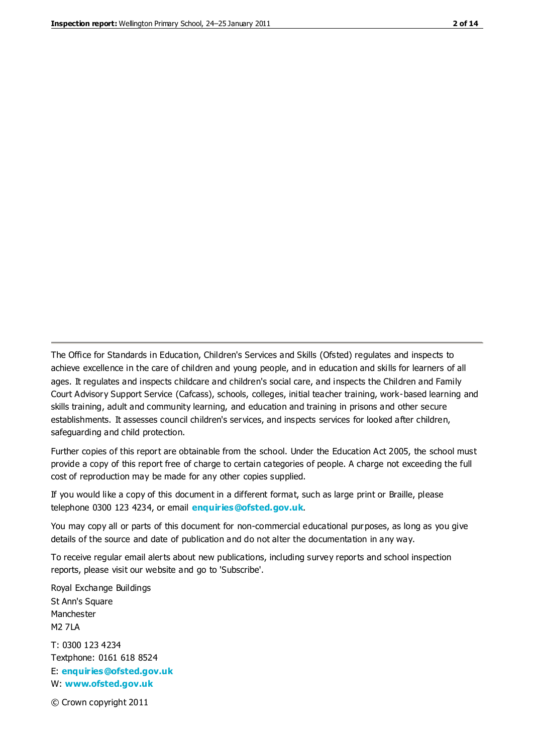The Office for Standards in Education, Children's Services and Skills (Ofsted) regulates and inspects to achieve excellence in the care of children and young people, and in education and skills for learners of all ages. It regulates and inspects childcare and children's social care, and inspects the Children and Family Court Advisory Support Service (Cafcass), schools, colleges, initial teacher training, work-based learning and skills training, adult and community learning, and education and training in prisons and other secure establishments. It assesses council children's services, and inspects services for looked after children, safeguarding and child protection.

Further copies of this report are obtainable from the school. Under the Education Act 2005, the school must provide a copy of this report free of charge to certain categories of people. A charge not exceeding the full cost of reproduction may be made for any other copies supplied.

If you would like a copy of this document in a different format, such as large print or Braille, please telephone 0300 123 4234, or email **[enquiries@ofsted.gov.uk](mailto:enquiries@ofsted.gov.uk)**.

You may copy all or parts of this document for non-commercial educational purposes, as long as you give details of the source and date of publication and do not alter the documentation in any way.

To receive regular email alerts about new publications, including survey reports and school inspection reports, please visit our website and go to 'Subscribe'.

Royal Exchange Buildings St Ann's Square Manchester M2 7LA T: 0300 123 4234 Textphone: 0161 618 8524 E: **[enquiries@ofsted.gov.uk](mailto:enquiries@ofsted.gov.uk)**

W: **[www.ofsted.gov.uk](http://www.ofsted.gov.uk/)**

© Crown copyright 2011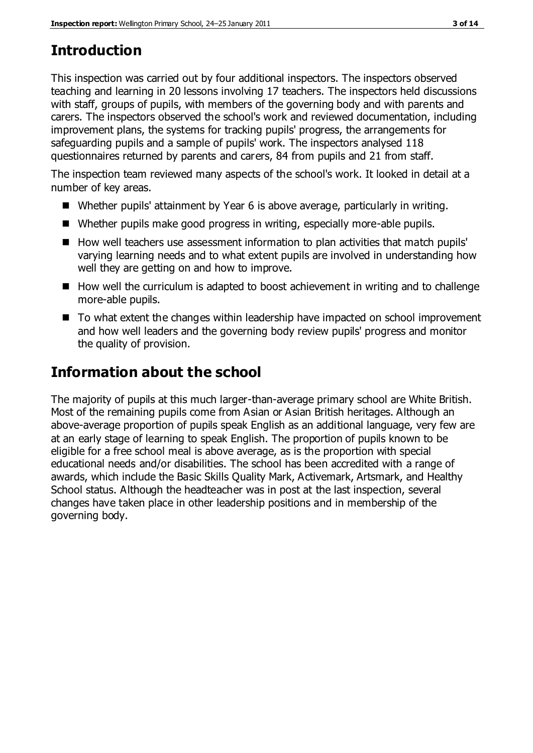# **Introduction**

This inspection was carried out by four additional inspectors. The inspectors observed teaching and learning in 20 lessons involving 17 teachers. The inspectors held discussions with staff, groups of pupils, with members of the governing body and with parents and carers. The inspectors observed the school's work and reviewed documentation, including improvement plans, the systems for tracking pupils' progress, the arrangements for safeguarding pupils and a sample of pupils' work. The inspectors analysed 118 questionnaires returned by parents and carers, 84 from pupils and 21 from staff.

The inspection team reviewed many aspects of the school's work. It looked in detail at a number of key areas.

- Whether pupils' attainment by Year 6 is above average, particularly in writing.
- Whether pupils make good progress in writing, especially more-able pupils.
- How well teachers use assessment information to plan activities that match pupils' varying learning needs and to what extent pupils are involved in understanding how well they are getting on and how to improve.
- How well the curriculum is adapted to boost achievement in writing and to challenge more-able pupils.
- To what extent the changes within leadership have impacted on school improvement and how well leaders and the governing body review pupils' progress and monitor the quality of provision.

# **Information about the school**

The majority of pupils at this much larger-than-average primary school are White British. Most of the remaining pupils come from Asian or Asian British heritages. Although an above-average proportion of pupils speak English as an additional language, very few are at an early stage of learning to speak English. The proportion of pupils known to be eligible for a free school meal is above average, as is the proportion with special educational needs and/or disabilities. The school has been accredited with a range of awards, which include the Basic Skills Quality Mark, Activemark, Artsmark, and Healthy School status. Although the headteacher was in post at the last inspection, several changes have taken place in other leadership positions and in membership of the governing body.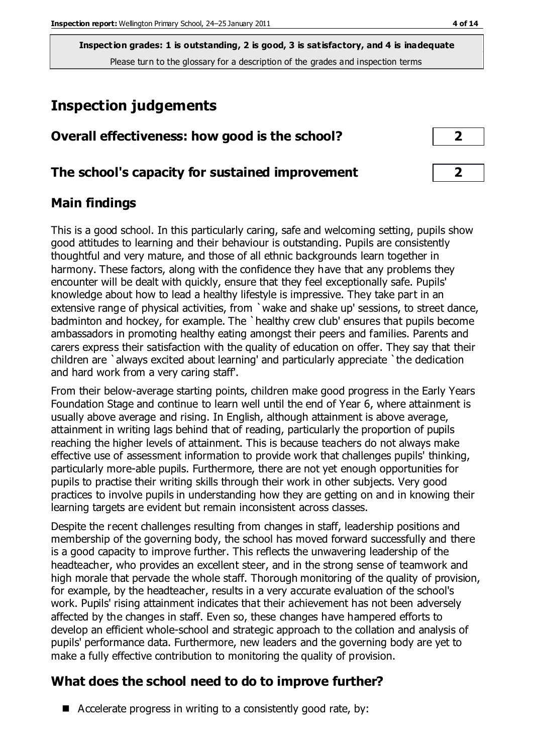**Inspection grades: 1 is outstanding, 2 is good, 3 is satisfactory, and 4 is inadequate** Please turn to the glossary for a description of the grades and inspection terms

# **Inspection judgements**

| Overall effectiveness: how good is the school? |  |
|------------------------------------------------|--|
|------------------------------------------------|--|

#### **The school's capacity for sustained improvement 2**

#### **Main findings**

This is a good school. In this particularly caring, safe and welcoming setting, pupils show good attitudes to learning and their behaviour is outstanding. Pupils are consistently thoughtful and very mature, and those of all ethnic backgrounds learn together in harmony. These factors, along with the confidence they have that any problems they encounter will be dealt with quickly, ensure that they feel exceptionally safe. Pupils' knowledge about how to lead a healthy lifestyle is impressive. They take part in an extensive range of physical activities, from `wake and shake up' sessions, to street dance, badminton and hockey, for example. The `healthy crew club' ensures that pupils become ambassadors in promoting healthy eating amongst their peers and families. Parents and carers express their satisfaction with the quality of education on offer. They say that their children are `always excited about learning' and particularly appreciate `the dedication and hard work from a very caring staff'.

From their below-average starting points, children make good progress in the Early Years Foundation Stage and continue to learn well until the end of Year 6, where attainment is usually above average and rising. In English, although attainment is above average, attainment in writing lags behind that of reading, particularly the proportion of pupils reaching the higher levels of attainment. This is because teachers do not always make effective use of assessment information to provide work that challenges pupils' thinking, particularly more-able pupils. Furthermore, there are not yet enough opportunities for pupils to practise their writing skills through their work in other subjects. Very good practices to involve pupils in understanding how they are getting on and in knowing their learning targets are evident but remain inconsistent across classes.

Despite the recent challenges resulting from changes in staff, leadership positions and membership of the governing body, the school has moved forward successfully and there is a good capacity to improve further. This reflects the unwavering leadership of the headteacher, who provides an excellent steer, and in the strong sense of teamwork and high morale that pervade the whole staff. Thorough monitoring of the quality of provision, for example, by the headteacher, results in a very accurate evaluation of the school's work. Pupils' rising attainment indicates that their achievement has not been adversely affected by the changes in staff. Even so, these changes have hampered efforts to develop an efficient whole-school and strategic approach to the collation and analysis of pupils' performance data. Furthermore, new leaders and the governing body are yet to make a fully effective contribution to monitoring the quality of provision.

### **What does the school need to do to improve further?**

 $\blacksquare$  Accelerate progress in writing to a consistently good rate, by: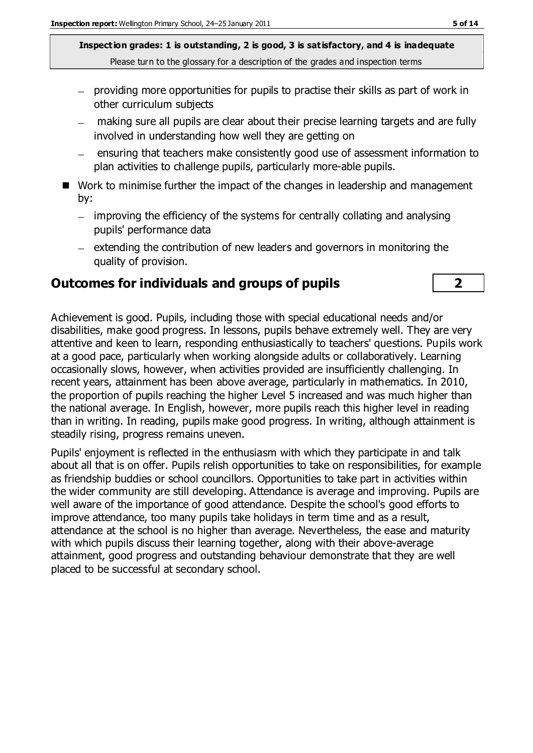**Inspection grades: 1 is outstanding, 2 is good, 3 is satisfactory, and 4 is inadequate** Please turn to the glossary for a description of the grades and inspection terms

- providing more opportunities for pupils to practise their skills as part of work in other curriculum subjects
- making sure all pupils are clear about their precise learning targets and are fully involved in understanding how well they are getting on
- ensuring that teachers make consistently good use of assessment information to plan activities to challenge pupils, particularly more-able pupils.
- Work to minimise further the impact of the changes in leadership and management by:
	- improving the efficiency of the systems for centrally collating and analysing pupils' performance data
	- $-$  extending the contribution of new leaders and governors in monitoring the quality of provision.

#### **Outcomes for individuals and groups of pupils 2**

Achievement is good. Pupils, including those with special educational needs and/or disabilities, make good progress. In lessons, pupils behave extremely well. They are very attentive and keen to learn, responding enthusiastically to teachers' questions. Pupils work at a good pace, particularly when working alongside adults or collaboratively. Learning occasionally slows, however, when activities provided are insufficiently challenging. In recent years, attainment has been above average, particularly in mathematics. In 2010, the proportion of pupils reaching the higher Level 5 increased and was much higher than the national average. In English, however, more pupils reach this higher level in reading than in writing. In reading, pupils make good progress. In writing, although attainment is steadily rising, progress remains uneven.

Pupils' enjoyment is reflected in the enthusiasm with which they participate in and talk about all that is on offer. Pupils relish opportunities to take on responsibilities, for example as friendship buddies or school councillors. Opportunities to take part in activities within the wider community are still developing. Attendance is average and improving. Pupils are well aware of the importance of good attendance. Despite the school's good efforts to improve attendance, too many pupils take holidays in term time and as a result, attendance at the school is no higher than average. Nevertheless, the ease and maturity with which pupils discuss their learning together, along with their above-average attainment, good progress and outstanding behaviour demonstrate that they are well placed to be successful at secondary school.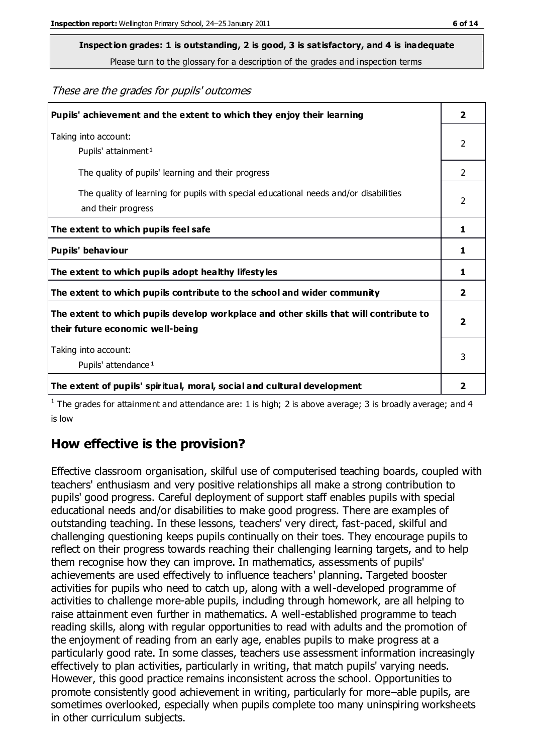# **Inspection grades: 1 is outstanding, 2 is good, 3 is satisfactory, and 4 is inadequate**

Please turn to the glossary for a description of the grades and inspection terms

#### These are the grades for pupils' outcomes

| Pupils' achievement and the extent to which they enjoy their learning                                                     | $\overline{\mathbf{2}}$ |
|---------------------------------------------------------------------------------------------------------------------------|-------------------------|
| Taking into account:<br>Pupils' attainment <sup>1</sup>                                                                   | 2                       |
| The quality of pupils' learning and their progress                                                                        | $\mathcal{P}$           |
| The quality of learning for pupils with special educational needs and/or disabilities<br>and their progress               | 2                       |
| The extent to which pupils feel safe                                                                                      | 1                       |
| Pupils' behaviour                                                                                                         | 1                       |
| The extent to which pupils adopt healthy lifestyles                                                                       | 1                       |
| The extent to which pupils contribute to the school and wider community                                                   | 2                       |
| The extent to which pupils develop workplace and other skills that will contribute to<br>their future economic well-being | $\overline{\mathbf{2}}$ |
| Taking into account:<br>Pupils' attendance <sup>1</sup>                                                                   | 3                       |
| The extent of pupils' spiritual, moral, social and cultural development                                                   | $\overline{\mathbf{2}}$ |

<sup>1</sup> The grades for attainment and attendance are: 1 is high; 2 is above average; 3 is broadly average; and 4 is low

#### **How effective is the provision?**

Effective classroom organisation, skilful use of computerised teaching boards, coupled with teachers' enthusiasm and very positive relationships all make a strong contribution to pupils' good progress. Careful deployment of support staff enables pupils with special educational needs and/or disabilities to make good progress. There are examples of outstanding teaching. In these lessons, teachers' very direct, fast-paced, skilful and challenging questioning keeps pupils continually on their toes. They encourage pupils to reflect on their progress towards reaching their challenging learning targets, and to help them recognise how they can improve. In mathematics, assessments of pupils' achievements are used effectively to influence teachers' planning. Targeted booster activities for pupils who need to catch up, along with a well-developed programme of activities to challenge more-able pupils, including through homework, are all helping to raise attainment even further in mathematics. A well-established programme to teach reading skills, along with regular opportunities to read with adults and the promotion of the enjoyment of reading from an early age, enables pupils to make progress at a particularly good rate. In some classes, teachers use assessment information increasingly effectively to plan activities, particularly in writing, that match pupils' varying needs. However, this good practice remains inconsistent across the school. Opportunities to promote consistently good achievement in writing, particularly for more–able pupils, are sometimes overlooked, especially when pupils complete too many uninspiring worksheets in other curriculum subjects.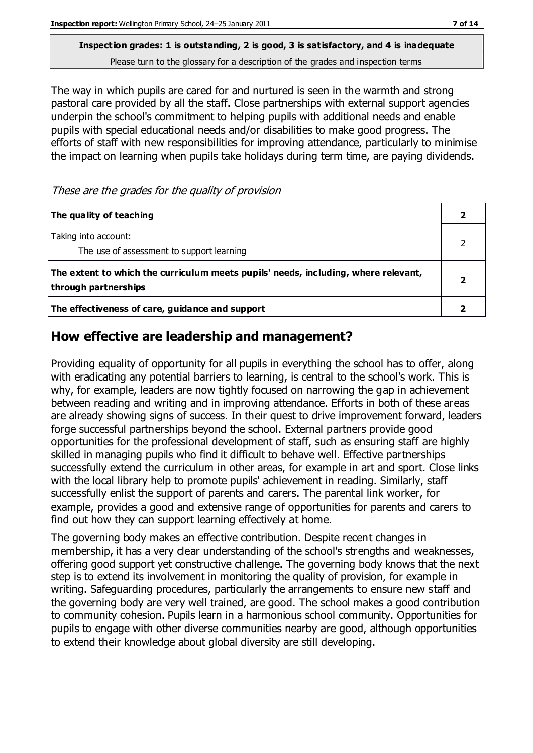**Inspection grades: 1 is outstanding, 2 is good, 3 is satisfactory, and 4 is inadequate** Please turn to the glossary for a description of the grades and inspection terms

The way in which pupils are cared for and nurtured is seen in the warmth and strong pastoral care provided by all the staff. Close partnerships with external support agencies underpin the school's commitment to helping pupils with additional needs and enable pupils with special educational needs and/or disabilities to make good progress. The efforts of staff with new responsibilities for improving attendance, particularly to minimise the impact on learning when pupils take holidays during term time, are paying dividends.

These are the grades for the quality of provision

| The quality of teaching                                                                                    |  |
|------------------------------------------------------------------------------------------------------------|--|
| Taking into account:<br>The use of assessment to support learning                                          |  |
| The extent to which the curriculum meets pupils' needs, including, where relevant,<br>through partnerships |  |
| The effectiveness of care, guidance and support                                                            |  |

#### **How effective are leadership and management?**

Providing equality of opportunity for all pupils in everything the school has to offer, along with eradicating any potential barriers to learning, is central to the school's work. This is why, for example, leaders are now tightly focused on narrowing the gap in achievement between reading and writing and in improving attendance. Efforts in both of these areas are already showing signs of success. In their quest to drive improvement forward, leaders forge successful partnerships beyond the school. External partners provide good opportunities for the professional development of staff, such as ensuring staff are highly skilled in managing pupils who find it difficult to behave well. Effective partnerships successfully extend the curriculum in other areas, for example in art and sport. Close links with the local library help to promote pupils' achievement in reading. Similarly, staff successfully enlist the support of parents and carers. The parental link worker, for example, provides a good and extensive range of opportunities for parents and carers to find out how they can support learning effectively at home.

The governing body makes an effective contribution. Despite recent changes in membership, it has a very clear understanding of the school's strengths and weaknesses, offering good support yet constructive challenge. The governing body knows that the next step is to extend its involvement in monitoring the quality of provision, for example in writing. Safeguarding procedures, particularly the arrangements to ensure new staff and the governing body are very well trained, are good. The school makes a good contribution to community cohesion. Pupils learn in a harmonious school community. Opportunities for pupils to engage with other diverse communities nearby are good, although opportunities to extend their knowledge about global diversity are still developing.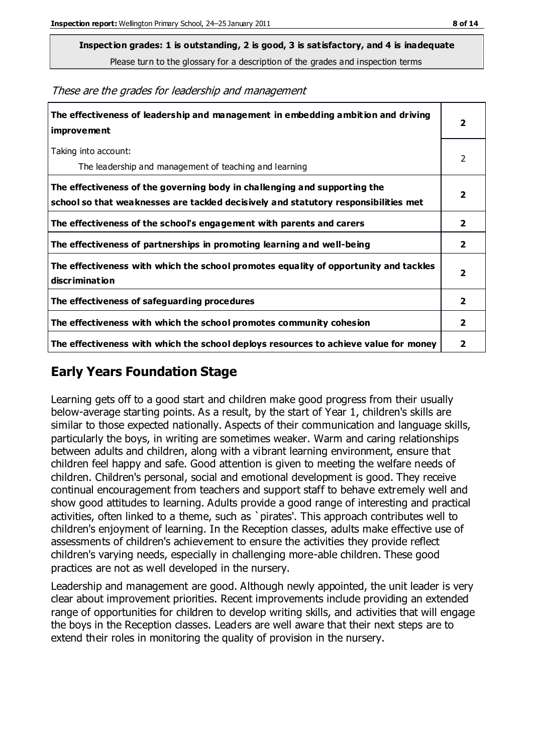**Inspection grades: 1 is outstanding, 2 is good, 3 is satisfactory, and 4 is inadequate**

Please turn to the glossary for a description of the grades and inspection terms

These are the grades for leadership and management

| The effectiveness of leadership and management in embedding ambition and driving<br>improvement                                                                  |                         |
|------------------------------------------------------------------------------------------------------------------------------------------------------------------|-------------------------|
| Taking into account:<br>The leadership and management of teaching and learning                                                                                   | 2                       |
| The effectiveness of the governing body in challenging and supporting the<br>school so that weaknesses are tackled decisively and statutory responsibilities met | $\overline{\mathbf{2}}$ |
| The effectiveness of the school's engagement with parents and carers                                                                                             | $\mathbf{2}$            |
| The effectiveness of partnerships in promoting learning and well-being                                                                                           | $\overline{2}$          |
| The effectiveness with which the school promotes equality of opportunity and tackles<br>discrimination                                                           | $\overline{\mathbf{2}}$ |
| The effectiveness of safeguarding procedures                                                                                                                     | $\overline{2}$          |
| The effectiveness with which the school promotes community cohesion                                                                                              | $\mathbf{2}$            |
| The effectiveness with which the school deploys resources to achieve value for money                                                                             | 2                       |

#### **Early Years Foundation Stage**

Learning gets off to a good start and children make good progress from their usually below-average starting points. As a result, by the start of Year 1, children's skills are similar to those expected nationally. Aspects of their communication and language skills, particularly the boys, in writing are sometimes weaker. Warm and caring relationships between adults and children, along with a vibrant learning environment, ensure that children feel happy and safe. Good attention is given to meeting the welfare needs of children. Children's personal, social and emotional development is good. They receive continual encouragement from teachers and support staff to behave extremely well and show good attitudes to learning. Adults provide a good range of interesting and practical activities, often linked to a theme, such as `pirates'. This approach contributes well to children's enjoyment of learning. In the Reception classes, adults make effective use of assessments of children's achievement to ensure the activities they provide reflect children's varying needs, especially in challenging more-able children. These good practices are not as well developed in the nursery.

Leadership and management are good. Although newly appointed, the unit leader is very clear about improvement priorities. Recent improvements include providing an extended range of opportunities for children to develop writing skills, and activities that will engage the boys in the Reception classes. Leaders are well aware that their next steps are to extend their roles in monitoring the quality of provision in the nursery.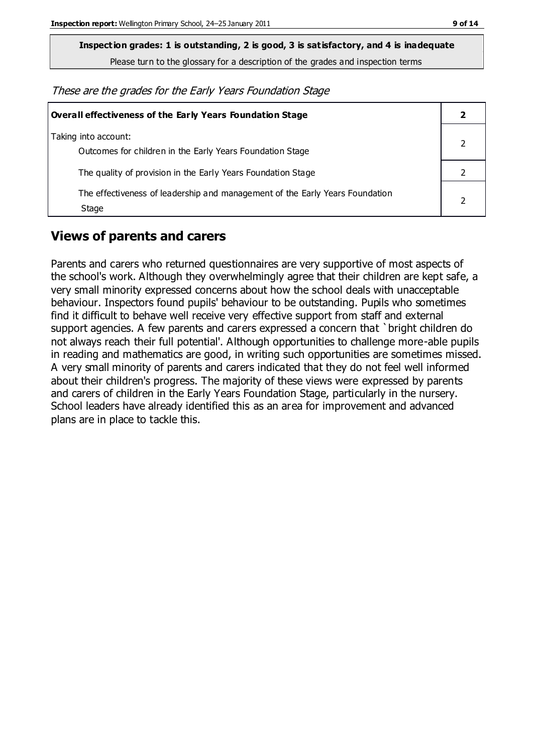**Inspection grades: 1 is outstanding, 2 is good, 3 is satisfactory, and 4 is inadequate**

Please turn to the glossary for a description of the grades and inspection terms

These are the grades for the Early Years Foundation Stage

| <b>Overall effectiveness of the Early Years Foundation Stage</b>                      |  |
|---------------------------------------------------------------------------------------|--|
| Taking into account:<br>Outcomes for children in the Early Years Foundation Stage     |  |
| The quality of provision in the Early Years Foundation Stage                          |  |
| The effectiveness of leadership and management of the Early Years Foundation<br>Stage |  |

#### **Views of parents and carers**

Parents and carers who returned questionnaires are very supportive of most aspects of the school's work. Although they overwhelmingly agree that their children are kept safe, a very small minority expressed concerns about how the school deals with unacceptable behaviour. Inspectors found pupils' behaviour to be outstanding. Pupils who sometimes find it difficult to behave well receive very effective support from staff and external support agencies. A few parents and carers expressed a concern that `bright children do not always reach their full potential'. Although opportunities to challenge more-able pupils in reading and mathematics are good, in writing such opportunities are sometimes missed. A very small minority of parents and carers indicated that they do not feel well informed about their children's progress. The majority of these views were expressed by parents and carers of children in the Early Years Foundation Stage, particularly in the nursery. School leaders have already identified this as an area for improvement and advanced plans are in place to tackle this.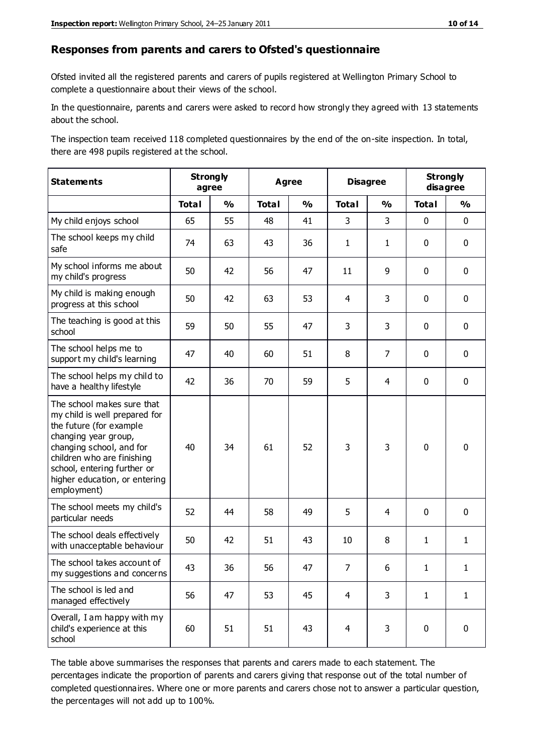#### **Responses from parents and carers to Ofsted's questionnaire**

Ofsted invited all the registered parents and carers of pupils registered at Wellington Primary School to complete a questionnaire about their views of the school.

In the questionnaire, parents and carers were asked to record how strongly they agreed with 13 statements about the school.

The inspection team received 118 completed questionnaires by the end of the on-site inspection. In total, there are 498 pupils registered at the school.

| <b>Statements</b>                                                                                                                                                                                                                                       | <b>Strongly</b><br>agree |               | <b>Disagree</b><br><b>Agree</b> |               |                |               | <b>Strongly</b><br>disagree |               |
|---------------------------------------------------------------------------------------------------------------------------------------------------------------------------------------------------------------------------------------------------------|--------------------------|---------------|---------------------------------|---------------|----------------|---------------|-----------------------------|---------------|
|                                                                                                                                                                                                                                                         | <b>Total</b>             | $\frac{0}{0}$ | <b>Total</b>                    | $\frac{0}{0}$ | <b>Total</b>   | $\frac{0}{0}$ | <b>Total</b>                | $\frac{0}{0}$ |
| My child enjoys school                                                                                                                                                                                                                                  | 65                       | 55            | 48                              | 41            | 3              | 3             | $\mathbf 0$                 | $\mathbf 0$   |
| The school keeps my child<br>safe                                                                                                                                                                                                                       | 74                       | 63            | 43                              | 36            | $\mathbf{1}$   | $\mathbf{1}$  | $\mathbf 0$                 | $\mathbf 0$   |
| My school informs me about<br>my child's progress                                                                                                                                                                                                       | 50                       | 42            | 56                              | 47            | 11             | 9             | $\mathbf 0$                 | $\mathbf 0$   |
| My child is making enough<br>progress at this school                                                                                                                                                                                                    | 50                       | 42            | 63                              | 53            | 4              | 3             | $\mathbf 0$                 | $\mathbf 0$   |
| The teaching is good at this<br>school                                                                                                                                                                                                                  | 59                       | 50            | 55                              | 47            | 3              | 3             | $\mathbf{0}$                | $\pmb{0}$     |
| The school helps me to<br>support my child's learning                                                                                                                                                                                                   | 47                       | 40            | 60                              | 51            | 8              | 7             | $\mathbf 0$                 | $\mathbf 0$   |
| The school helps my child to<br>have a healthy lifestyle                                                                                                                                                                                                | 42                       | 36            | 70                              | 59            | 5              | 4             | 0                           | $\mathbf 0$   |
| The school makes sure that<br>my child is well prepared for<br>the future (for example<br>changing year group,<br>changing school, and for<br>children who are finishing<br>school, entering further or<br>higher education, or entering<br>employment) | 40                       | 34            | 61                              | 52            | 3              | 3             | $\mathbf 0$                 | $\mathbf 0$   |
| The school meets my child's<br>particular needs                                                                                                                                                                                                         | 52                       | 44            | 58                              | 49            | 5              | 4             | $\mathbf 0$                 | $\mathbf 0$   |
| The school deals effectively<br>with unacceptable behaviour                                                                                                                                                                                             | 50                       | 42            | 51                              | 43            | 10             | 8             | $\mathbf{1}$                | $\mathbf{1}$  |
| The school takes account of<br>my suggestions and concerns                                                                                                                                                                                              | 43                       | 36            | 56                              | 47            | $\overline{7}$ | 6             | 1                           | 1             |
| The school is led and<br>managed effectively                                                                                                                                                                                                            | 56                       | 47            | 53                              | 45            | $\overline{4}$ | 3             | $\mathbf{1}$                | $\mathbf{1}$  |
| Overall, I am happy with my<br>child's experience at this<br>school                                                                                                                                                                                     | 60                       | 51            | 51                              | 43            | $\overline{4}$ | 3             | $\pmb{0}$                   | $\pmb{0}$     |

The table above summarises the responses that parents and carers made to each statement. The percentages indicate the proportion of parents and carers giving that response out of the total number of completed questionnaires. Where one or more parents and carers chose not to answer a particular question, the percentages will not add up to 100%.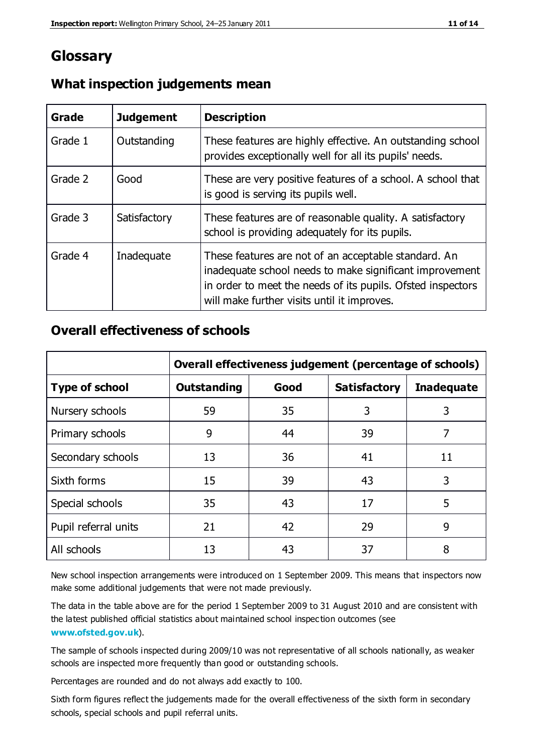## **Glossary**

| Grade   | <b>Judgement</b> | <b>Description</b>                                                                                                                                                                                                            |
|---------|------------------|-------------------------------------------------------------------------------------------------------------------------------------------------------------------------------------------------------------------------------|
| Grade 1 | Outstanding      | These features are highly effective. An outstanding school<br>provides exceptionally well for all its pupils' needs.                                                                                                          |
| Grade 2 | Good             | These are very positive features of a school. A school that<br>is good is serving its pupils well.                                                                                                                            |
| Grade 3 | Satisfactory     | These features are of reasonable quality. A satisfactory<br>school is providing adequately for its pupils.                                                                                                                    |
| Grade 4 | Inadequate       | These features are not of an acceptable standard. An<br>inadequate school needs to make significant improvement<br>in order to meet the needs of its pupils. Ofsted inspectors<br>will make further visits until it improves. |

#### **What inspection judgements mean**

#### **Overall effectiveness of schools**

|                       | Overall effectiveness judgement (percentage of schools) |      |                     |                   |
|-----------------------|---------------------------------------------------------|------|---------------------|-------------------|
| <b>Type of school</b> | <b>Outstanding</b>                                      | Good | <b>Satisfactory</b> | <b>Inadequate</b> |
| Nursery schools       | 59                                                      | 35   | 3                   | 3                 |
| Primary schools       | 9                                                       | 44   | 39                  | 7                 |
| Secondary schools     | 13                                                      | 36   | 41                  | 11                |
| Sixth forms           | 15                                                      | 39   | 43                  | 3                 |
| Special schools       | 35                                                      | 43   | 17                  | 5                 |
| Pupil referral units  | 21                                                      | 42   | 29                  | 9                 |
| All schools           | 13                                                      | 43   | 37                  | 8                 |

New school inspection arrangements were introduced on 1 September 2009. This means that inspectors now make some additional judgements that were not made previously.

The data in the table above are for the period 1 September 2009 to 31 August 2010 and are consistent with the latest published official statistics about maintained school inspec tion outcomes (see **[www.ofsted.gov.uk](http://www.ofsted.gov.uk/)**).

The sample of schools inspected during 2009/10 was not representative of all schools nationally, as weaker schools are inspected more frequently than good or outstanding schools.

Percentages are rounded and do not always add exactly to 100.

Sixth form figures reflect the judgements made for the overall effectiveness of the sixth form in secondary schools, special schools and pupil referral units.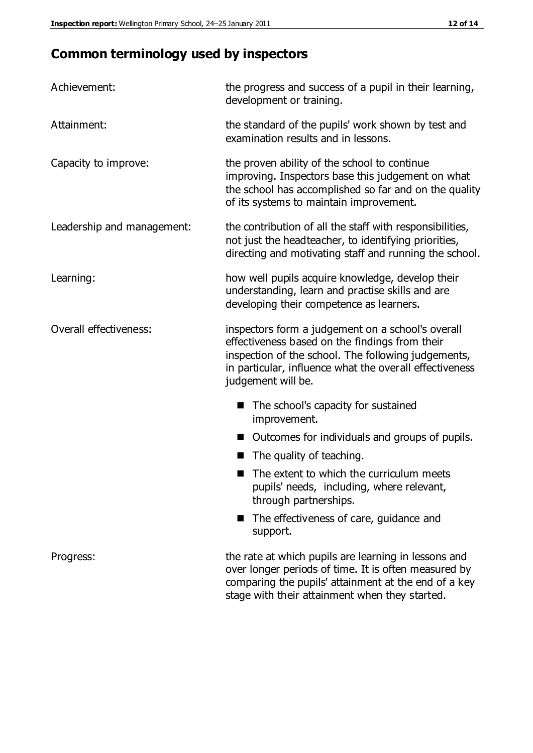# **Common terminology used by inspectors**

| Achievement:               | the progress and success of a pupil in their learning,<br>development or training.                                                                                                                                                          |  |  |
|----------------------------|---------------------------------------------------------------------------------------------------------------------------------------------------------------------------------------------------------------------------------------------|--|--|
| Attainment:                | the standard of the pupils' work shown by test and<br>examination results and in lessons.                                                                                                                                                   |  |  |
| Capacity to improve:       | the proven ability of the school to continue<br>improving. Inspectors base this judgement on what<br>the school has accomplished so far and on the quality<br>of its systems to maintain improvement.                                       |  |  |
| Leadership and management: | the contribution of all the staff with responsibilities,<br>not just the headteacher, to identifying priorities,<br>directing and motivating staff and running the school.                                                                  |  |  |
| Learning:                  | how well pupils acquire knowledge, develop their<br>understanding, learn and practise skills and are<br>developing their competence as learners.                                                                                            |  |  |
| Overall effectiveness:     | inspectors form a judgement on a school's overall<br>effectiveness based on the findings from their<br>inspection of the school. The following judgements,<br>in particular, influence what the overall effectiveness<br>judgement will be. |  |  |
|                            | The school's capacity for sustained<br>improvement.                                                                                                                                                                                         |  |  |
|                            | Outcomes for individuals and groups of pupils.                                                                                                                                                                                              |  |  |
|                            | The quality of teaching.                                                                                                                                                                                                                    |  |  |
|                            | The extent to which the curriculum meets<br>pupils' needs, including, where relevant,<br>through partnerships.                                                                                                                              |  |  |
|                            | The effectiveness of care, guidance and<br>support.                                                                                                                                                                                         |  |  |
| Progress:                  | the rate at which pupils are learning in lessons and<br>over longer periods of time. It is often measured by<br>comparing the pupils' attainment at the end of a key                                                                        |  |  |

stage with their attainment when they started.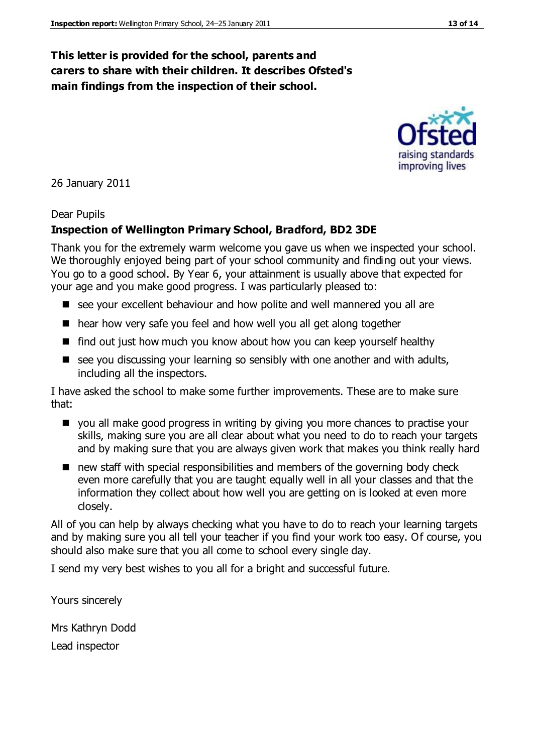#### **This letter is provided for the school, parents and carers to share with their children. It describes Ofsted's main findings from the inspection of their school.**

#### 26 January 2011

#### Dear Pupils

#### **Inspection of Wellington Primary School, Bradford, BD2 3DE**

Thank you for the extremely warm welcome you gave us when we inspected your school. We thoroughly enjoyed being part of your school community and finding out your views. You go to a good school. By Year 6, your attainment is usually above that expected for your age and you make good progress. I was particularly pleased to:

- see your excellent behaviour and how polite and well mannered you all are
- hear how very safe you feel and how well you all get along together
- find out just how much you know about how you can keep yourself healthy
- $\blacksquare$  see you discussing your learning so sensibly with one another and with adults, including all the inspectors.

I have asked the school to make some further improvements. These are to make sure that:

- **D** you all make good progress in writing by giving you more chances to practise your skills, making sure you are all clear about what you need to do to reach your targets and by making sure that you are always given work that makes you think really hard
- new staff with special responsibilities and members of the governing body check even more carefully that you are taught equally well in all your classes and that the information they collect about how well you are getting on is looked at even more closely.

All of you can help by always checking what you have to do to reach your learning targets and by making sure you all tell your teacher if you find your work too easy. Of course, you should also make sure that you all come to school every single day.

I send my very best wishes to you all for a bright and successful future.

Yours sincerely

Mrs Kathryn Dodd Lead inspector